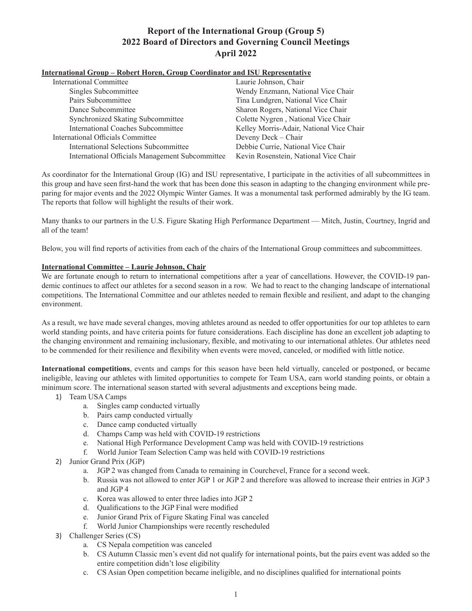## **International Group – Robert Horen, Group Coordinator and ISU Representative**

| <b>International Committee</b>                  | Laurie Johnson, Chair                    |
|-------------------------------------------------|------------------------------------------|
| Singles Subcommittee                            | Wendy Enzmann, National Vice Chair       |
| Pairs Subcommittee                              | Tina Lundgren, National Vice Chair       |
| Dance Subcommittee                              | Sharon Rogers, National Vice Chair       |
| Synchronized Skating Subcommittee               | Colette Nygren, National Vice Chair      |
| <b>International Coaches Subcommittee</b>       | Kelley Morris-Adair, National Vice Chair |
| International Officials Committee               | Deveny Deck - Chair                      |
| International Selections Subcommittee           | Debbie Currie, National Vice Chair       |
| International Officials Management Subcommittee | Kevin Rosenstein, National Vice Chair    |

As coordinator for the International Group (IG) and ISU representative, I participate in the activities of all subcommittees in this group and have seen first-hand the work that has been done this season in adapting to the changing environment while preparing for major events and the 2022 Olympic Winter Games. It was a monumental task performed admirably by the IG team. The reports that follow will highlight the results of their work.

Many thanks to our partners in the U.S. Figure Skating High Performance Department — Mitch, Justin, Courtney, Ingrid and all of the team!

Below, you will find reports of activities from each of the chairs of the International Group committees and subcommittees.

### **International Committee – Laurie Johnson, Chair**

We are fortunate enough to return to international competitions after a year of cancellations. However, the COVID-19 pandemic continues to affect our athletes for a second season in a row. We had to react to the changing landscape of international competitions. The International Committee and our athletes needed to remain flexible and resilient, and adapt to the changing environment.

As a result, we have made several changes, moving athletes around as needed to offer opportunities for our top athletes to earn world standing points, and have criteria points for future considerations. Each discipline has done an excellent job adapting to the changing environment and remaining inclusionary, flexible, and motivating to our international athletes. Our athletes need to be commended for their resilience and flexibility when events were moved, canceled, or modified with little notice.

**International competitions**, events and camps for this season have been held virtually, canceled or postponed, or became ineligible, leaving our athletes with limited opportunities to compete for Team USA, earn world standing points, or obtain a minimum score. The international season started with several adjustments and exceptions being made.

- 1) Team USA Camps
	- a. Singles camp conducted virtually
	- b. Pairs camp conducted virtually
	- c. Dance camp conducted virtually
	- d. Champs Camp was held with COVID-19 restrictions
	- e. National High Performance Development Camp was held with COVID-19 restrictions
	- f. World Junior Team Selection Camp was held with COVID-19 restrictions
- 2) Junior Grand Prix (JGP)
	- a. JGP 2 was changed from Canada to remaining in Courchevel, France for a second week.
	- b. Russia was not allowed to enter JGP 1 or JGP 2 and therefore was allowed to increase their entries in JGP 3 and JGP 4
	- c. Korea was allowed to enter three ladies into JGP 2
	- d. Qualifications to the JGP Final were modified
	- e. Junior Grand Prix of Figure Skating Final was canceled
	- f. World Junior Championships were recently rescheduled
- 3) Challenger Series (CS)
	- a. CS Nepala competition was canceled
	- b. CS Autumn Classic men's event did not qualify for international points, but the pairs event was added so the entire competition didn't lose eligibility
	- c. CS Asian Open competition became ineligible, and no disciplines qualified for international points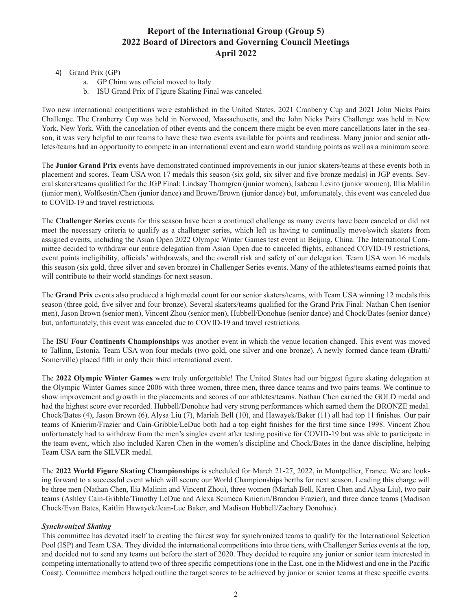- 4) Grand Prix (GP)
	- a. GP China was official moved to Italy
	- b. ISU Grand Prix of Figure Skating Final was canceled

Two new international competitions were established in the United States, 2021 Cranberry Cup and 2021 John Nicks Pairs Challenge. The Cranberry Cup was held in Norwood, Massachusetts, and the John Nicks Pairs Challenge was held in New York, New York. With the cancelation of other events and the concern there might be even more cancellations later in the season, it was very helpful to our teams to have these two events available for points and readiness. Many junior and senior athletes/teams had an opportunity to compete in an international event and earn world standing points as well as a minimum score.

The **Junior Grand Prix** events have demonstrated continued improvements in our junior skaters/teams at these events both in placement and scores. Team USA won 17 medals this season (six gold, six silver and five bronze medals) in JGP events. Several skaters/teams qualified for the JGP Final: Lindsay Thorngren (junior women), Isabeau Levito (junior women), Illia Malilin (junior men), Wolfkostin/Chen (junior dance) and Brown/Brown (junior dance) but, unfortunately, this event was canceled due to COVID-19 and travel restrictions.

The **Challenger Series** events for this season have been a continued challenge as many events have been canceled or did not meet the necessary criteria to qualify as a challenger series, which left us having to continually move/switch skaters from assigned events, including the Asian Open 2022 Olympic Winter Games test event in Beijing, China. The International Committee decided to withdraw our entire delegation from Asian Open due to canceled flights, enhanced COVID-19 restrictions, event points ineligibility, officials' withdrawals, and the overall risk and safety of our delegation. Team USA won 16 medals this season (six gold, three silver and seven bronze) in Challenger Series events. Many of the athletes/teams earned points that will contribute to their world standings for next season.

The **Grand Prix** events also produced a high medal count for our senior skaters/teams, with Team USA winning 12 medals this season (three gold, five silver and four bronze). Several skaters/teams qualified for the Grand Prix Final: Nathan Chen (senior men), Jason Brown (senior men), Vincent Zhou (senior men), Hubbell/Donohue (senior dance) and Chock/Bates (senior dance) but, unfortunately, this event was canceled due to COVID-19 and travel restrictions.

The **ISU Four Continents Championships** was another event in which the venue location changed. This event was moved to Tallinn, Estonia. Team USA won four medals (two gold, one silver and one bronze). A newly formed dance team (Bratti/ Somerville) placed fifth in only their third international event.

The **2022 Olympic Winter Games** were truly unforgettable! The United States had our biggest figure skating delegation at the Olympic Winter Games since 2006 with three women, three men, three dance teams and two pairs teams. We continue to show improvement and growth in the placements and scores of our athletes/teams. Nathan Chen earned the GOLD medal and had the highest score ever recorded. Hubbell/Donohue had very strong performances which earned them the BRONZE medal. Chock/Bates (4), Jason Brown (6), Alysa Liu (7), Mariah Bell (10), and Hawayek/Baker (11) all had top 11 finishes. Our pair teams of Knierim/Frazier and Cain-Gribble/LeDuc both had a top eight finishes for the first time since 1998. Vincent Zhou unfortunately had to withdraw from the men's singles event after testing positive for COVID-19 but was able to participate in the team event, which also included Karen Chen in the women's discipline and Chock/Bates in the dance discipline, helping Team USA earn the SILVER medal.

The **2022 World Figure Skating Championships** is scheduled for March 21-27, 2022, in Montpellier, France. We are looking forward to a successful event which will secure our World Championships berths for next season. Leading this charge will be three men (Nathan Chen, Ilia Malinin and Vincent Zhou), three women (Mariah Bell, Karen Chen and Alysa Liu), two pair teams (Ashley Cain-Gribble/Timothy LeDue and Alexa Scimeca Knierim/Brandon Frazier), and three dance teams (Madison Chock/Evan Bates, Kaitlin Hawayek/Jean-Luc Baker, and Madison Hubbell/Zachary Donohue).

### *Synchronized Skating*

This committee has devoted itself to creating the fairest way for synchronized teams to qualify for the International Selection Pool (ISP) and Team USA. They divided the international competitions into three tiers, with Challenger Series events at the top, and decided not to send any teams out before the start of 2020. They decided to require any junior or senior team interested in competing internationally to attend two of three specific competitions (one in the East, one in the Midwest and one in the Pacific Coast). Committee members helped outline the target scores to be achieved by junior or senior teams at these specific events.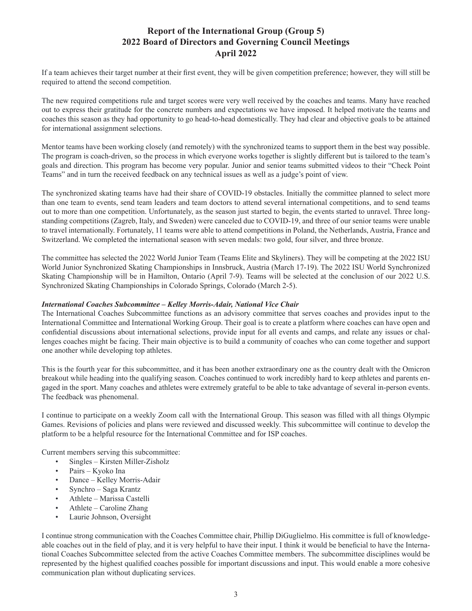If a team achieves their target number at their first event, they will be given competition preference; however, they will still be required to attend the second competition.

The new required competitions rule and target scores were very well received by the coaches and teams. Many have reached out to express their gratitude for the concrete numbers and expectations we have imposed. It helped motivate the teams and coaches this season as they had opportunity to go head-to-head domestically. They had clear and objective goals to be attained for international assignment selections.

Mentor teams have been working closely (and remotely) with the synchronized teams to support them in the best way possible. The program is coach-driven, so the process in which everyone works together is slightly different but is tailored to the team's goals and direction. This program has become very popular. Junior and senior teams submitted videos to their "Check Point Teams" and in turn the received feedback on any technical issues as well as a judge's point of view.

The synchronized skating teams have had their share of COVID-19 obstacles. Initially the committee planned to select more than one team to events, send team leaders and team doctors to attend several international competitions, and to send teams out to more than one competition. Unfortunately, as the season just started to begin, the events started to unravel. Three longstanding competitions (Zagreb, Italy, and Sweden) were canceled due to COVID-19, and three of our senior teams were unable to travel internationally. Fortunately, 11 teams were able to attend competitions in Poland, the Netherlands, Austria, France and Switzerland. We completed the international season with seven medals: two gold, four silver, and three bronze.

The committee has selected the 2022 World Junior Team (Teams Elite and Skyliners). They will be competing at the 2022 ISU World Junior Synchronized Skating Championships in Innsbruck, Austria (March 17-19). The 2022 ISU World Synchronized Skating Championship will be in Hamilton, Ontario (April 7-9). Teams will be selected at the conclusion of our 2022 U.S. Synchronized Skating Championships in Colorado Springs, Colorado (March 2-5).

### *International Coaches Subcommittee – Kelley Morris-Adair, National Vice Chair*

The International Coaches Subcommittee functions as an advisory committee that serves coaches and provides input to the International Committee and International Working Group. Their goal is to create a platform where coaches can have open and confidential discussions about international selections, provide input for all events and camps, and relate any issues or challenges coaches might be facing. Their main objective is to build a community of coaches who can come together and support one another while developing top athletes.

This is the fourth year for this subcommittee, and it has been another extraordinary one as the country dealt with the Omicron breakout while heading into the qualifying season. Coaches continued to work incredibly hard to keep athletes and parents engaged in the sport. Many coaches and athletes were extremely grateful to be able to take advantage of several in-person events. The feedback was phenomenal.

I continue to participate on a weekly Zoom call with the International Group. This season was filled with all things Olympic Games. Revisions of policies and plans were reviewed and discussed weekly. This subcommittee will continue to develop the platform to be a helpful resource for the International Committee and for ISP coaches.

Current members serving this subcommittee:

- Singles Kirsten Miller-Zisholz
- Pairs Kyoko Ina
- Dance Kelley Morris-Adair
- Synchro Saga Krantz
- Athlete Marissa Castelli
- Athlete Caroline Zhang
- Laurie Johnson, Oversight

I continue strong communication with the Coaches Committee chair, Phillip DiGuglielmo. His committee is full of knowledgeable coaches out in the field of play, and it is very helpful to have their input. I think it would be beneficial to have the International Coaches Subcommittee selected from the active Coaches Committee members. The subcommittee disciplines would be represented by the highest qualified coaches possible for important discussions and input. This would enable a more cohesive communication plan without duplicating services.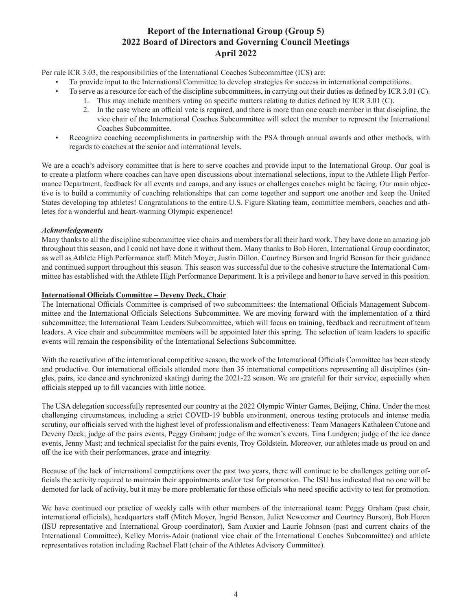Per rule ICR 3.03, the responsibilities of the International Coaches Subcommittee (ICS) are:

- To provide input to the International Committee to develop strategies for success in international competitions.
- To serve as a resource for each of the discipline subcommittees, in carrying out their duties as defined by ICR 3.01 (C).
	- 1. This may include members voting on specific matters relating to duties defined by ICR 3.01 (C).
		- 2. In the case where an official vote is required, and there is more than one coach member in that discipline, the vice chair of the International Coaches Subcommittee will select the member to represent the International Coaches Subcommittee.
- Recognize coaching accomplishments in partnership with the PSA through annual awards and other methods, with regards to coaches at the senior and international levels.

We are a coach's advisory committee that is here to serve coaches and provide input to the International Group. Our goal is to create a platform where coaches can have open discussions about international selections, input to the Athlete High Performance Department, feedback for all events and camps, and any issues or challenges coaches might be facing. Our main objective is to build a community of coaching relationships that can come together and support one another and keep the United States developing top athletes! Congratulations to the entire U.S. Figure Skating team, committee members, coaches and athletes for a wonderful and heart-warming Olympic experience!

### *Acknowledgements*

Many thanks to all the discipline subcommittee vice chairs and members for all their hard work. They have done an amazing job throughout this season, and I could not have done it without them. Many thanks to Bob Horen, International Group coordinator, as well as Athlete High Performance staff: Mitch Moyer, Justin Dillon, Courtney Burson and Ingrid Benson for their guidance and continued support throughout this season. This season was successful due to the cohesive structure the International Committee has established with the Athlete High Performance Department. It is a privilege and honor to have served in this position.

### **International Officials Committee – Deveny Deck, Chair**

The International Officials Committee is comprised of two subcommittees: the International Officials Management Subcommittee and the International Officials Selections Subcommittee. We are moving forward with the implementation of a third subcommittee; the International Team Leaders Subcommittee, which will focus on training, feedback and recruitment of team leaders. A vice chair and subcommittee members will be appointed later this spring. The selection of team leaders to specific events will remain the responsibility of the International Selections Subcommittee.

With the reactivation of the international competitive season, the work of the International Officials Committee has been steady and productive. Our international officials attended more than 35 international competitions representing all disciplines (singles, pairs, ice dance and synchronized skating) during the 2021-22 season. We are grateful for their service, especially when officials stepped up to fill vacancies with little notice.

The USA delegation successfully represented our country at the 2022 Olympic Winter Games, Beijing, China. Under the most challenging circumstances, including a strict COVID-19 bubble environment, onerous testing protocols and intense media scrutiny, our officials served with the highest level of professionalism and effectiveness: Team Managers Kathaleen Cutone and Deveny Deck; judge of the pairs events, Peggy Graham; judge of the women's events, Tina Lundgren; judge of the ice dance events, Jenny Mast; and technical specialist for the pairs events, Troy Goldstein. Moreover, our athletes made us proud on and off the ice with their performances, grace and integrity.

Because of the lack of international competitions over the past two years, there will continue to be challenges getting our officials the activity required to maintain their appointments and/or test for promotion. The ISU has indicated that no one will be demoted for lack of activity, but it may be more problematic for those officials who need specific activity to test for promotion.

We have continued our practice of weekly calls with other members of the international team: Peggy Graham (past chair, international officials), headquarters staff (Mitch Moyer, Ingrid Benson, Juliet Newcomer and Courtney Burson), Bob Horen (ISU representative and International Group coordinator), Sam Auxier and Laurie Johnson (past and current chairs of the International Committee), Kelley Morris-Adair (national vice chair of the International Coaches Subcommittee) and athlete representatives rotation including Rachael Flatt (chair of the Athletes Advisory Committee).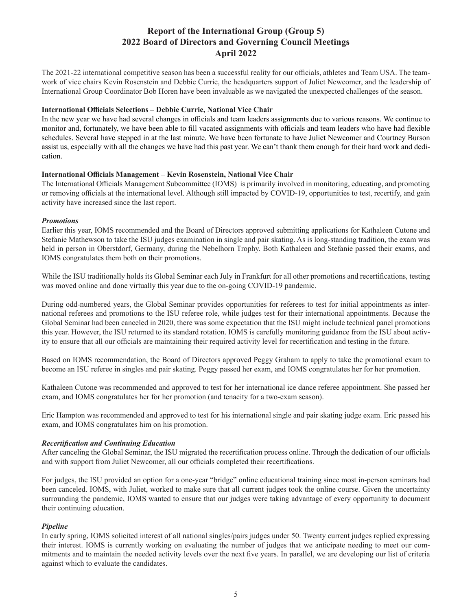The 2021-22 international competitive season has been a successful reality for our officials, athletes and Team USA. The teamwork of vice chairs Kevin Rosenstein and Debbie Currie, the headquarters support of Juliet Newcomer, and the leadership of International Group Coordinator Bob Horen have been invaluable as we navigated the unexpected challenges of the season.

#### **International Officials Selections – Debbie Currie, National Vice Chair**

In the new year we have had several changes in officials and team leaders assignments due to various reasons. We continue to monitor and, fortunately, we have been able to fill vacated assignments with officials and team leaders who have had flexible schedules. Several have stepped in at the last minute. We have been fortunate to have Juliet Newcomer and Courtney Burson assist us, especially with all the changes we have had this past year. We can't thank them enough for their hard work and dedication.

#### **International Officials Management – Kevin Rosenstein, National Vice Chair**

The International Officials Management Subcommittee (IOMS) is primarily involved in monitoring, educating, and promoting or removing officials at the international level. Although still impacted by COVID-19, opportunities to test, recertify, and gain activity have increased since the last report.

#### *Promotions*

Earlier this year, IOMS recommended and the Board of Directors approved submitting applications for Kathaleen Cutone and Stefanie Mathewson to take the ISU judges examination in single and pair skating. As is long-standing tradition, the exam was held in person in Oberstdorf, Germany, during the Nebelhorn Trophy. Both Kathaleen and Stefanie passed their exams, and IOMS congratulates them both on their promotions.

While the ISU traditionally holds its Global Seminar each July in Frankfurt for all other promotions and recertifications, testing was moved online and done virtually this year due to the on-going COVID-19 pandemic.

During odd-numbered years, the Global Seminar provides opportunities for referees to test for initial appointments as international referees and promotions to the ISU referee role, while judges test for their international appointments. Because the Global Seminar had been canceled in 2020, there was some expectation that the ISU might include technical panel promotions this year. However, the ISU returned to its standard rotation. IOMS is carefully monitoring guidance from the ISU about activity to ensure that all our officials are maintaining their required activity level for recertification and testing in the future.

Based on IOMS recommendation, the Board of Directors approved Peggy Graham to apply to take the promotional exam to become an ISU referee in singles and pair skating. Peggy passed her exam, and IOMS congratulates her for her promotion.

Kathaleen Cutone was recommended and approved to test for her international ice dance referee appointment. She passed her exam, and IOMS congratulates her for her promotion (and tenacity for a two-exam season).

Eric Hampton was recommended and approved to test for his international single and pair skating judge exam. Eric passed his exam, and IOMS congratulates him on his promotion.

### *Recertification and Continuing Education*

After canceling the Global Seminar, the ISU migrated the recertification process online. Through the dedication of our officials and with support from Juliet Newcomer, all our officials completed their recertifications.

For judges, the ISU provided an option for a one-year "bridge" online educational training since most in-person seminars had been canceled. IOMS, with Juliet, worked to make sure that all current judges took the online course. Given the uncertainty surrounding the pandemic, IOMS wanted to ensure that our judges were taking advantage of every opportunity to document their continuing education.

### *Pipeline*

In early spring, IOMS solicited interest of all national singles/pairs judges under 50. Twenty current judges replied expressing their interest. IOMS is currently working on evaluating the number of judges that we anticipate needing to meet our commitments and to maintain the needed activity levels over the next five years. In parallel, we are developing our list of criteria against which to evaluate the candidates.